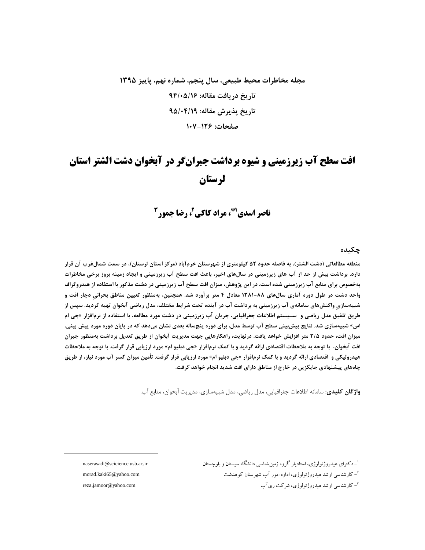## مجله مخاطرات محيط طبيعي، سال ينجم، شماره نهم، ياييز ١٣٩٥ تار بخ در بافت مقاله: ۹۴/۰۵/۱۶ تاريخ پذيرش مقاله: ٩٥/٠۴/١٩ صفحات: ۱۲۶–۱۰۷

# **افت سطح آب زیرزمینی و شیوه برداشت جبرانگر در آبخوان دشت الشتر استان** لرستان

ناصر اسدی"، مراد کاکی'، رضا حمور<sup>2</sup>

### چکىدە

منطقه مطالعاتی (دشت الشتر)، به فاصله حدود ۵۲ کیلومتری از شهرستان خرمآباد (مرکز استان لرستان)، در سمت شمالغرب آن قرار دارد. برداشت بیش از حد از آب های زیرزمینی در سالهای اخیر، باعث افت سطح آب زیرزمینی و ایجاد زمینه بروز برخی مخاطرات بهخصوص برای منابع آب زیرزمینی شده است. در این پژوهش، میزان افت سطح آب زیرزمینی در دشت مذکور با استفاده از هیدروگراف واحد دشت در طول دوره آماری سالهای ۸۸-۱۳۸۱ معادل ۴ متر برآورد شد. همچنین، بهمنظور تعیین مناطق بحرانی دچار افت و شبیهسازی واکنشهای سامانهی آب زیرزمینی به برداشت آب در آینده تحت شرایط مختلف، مدل ریاضی آبخوان تهیه گردید. سپس از طريق تلفيق مدل رياضي و ســيستم اطلاعات جغرافيايي، جريان آب زيرزميني در دشت مورد مطالعه، با استفاده از نرمافزار «جي ام اس» شبیهسازی شد. نتایج پیش;ینی سطح آب توسط مدل، برای دوره پنجساله بعدی نشان میدهد که در پایان دوره مورد پیش بینی، میزان افت، حدود ۳/۵ متر افزایش خواهد یافت. درنهایت، راهکارهایی جهت مدیریت آبخوان از طریق تعدیل برداشت بهمنظور جبران افت آبخوان، با توجه به ملاحظات اقتصادی ارائه گردید و با کمک نرمافزار «جی دبلیو ام» مورد ارزیابی قرار گرفت. با توجه به ملاحظات هیدرولیکی و اقتصادی ارائه گردید و با کمک نرمافزار «جی دبلیو ام» مورد ارزیابی قرار گرفت. تأمین میزان کسر آب مورد نیاز، از طریق چاههای پیشنهادی جایگزین در خارج از مناطق دارای افت شدید انجام خواهد گرفت.

واژگان كليدي: سامانه اطلاعات جغرافيايي، مدل رياضي، مدل شبيهسازي، مديريت آبخوان، منابع آب.

'– دکترای هیدروژئولوژی، استادیار گروه زمین شناسی دانشگاه سیستان و بلوچستان <sup>۲</sup>– کار شناسی ار شد هیدروژ ئولوژی، اداره امور آب شهرستان کوهدشت <sup>۳</sup>- کارشناسی ارشد هیدروژئولوژی، شرکت ریآب

naserasadi@scicience.usb.ac.ir morad.kaki65@yahoo.com reza.jamoor@yahoo.com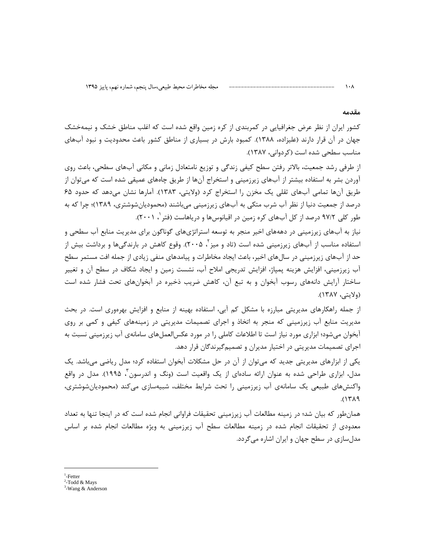#### مقدمه

 $\mathcal{N}$ 

کشور ایران از نظر عرض جغرافیایی در کمربندی از کره زمین واقع شده است که اغلب مناطق خشک و نیمهخشک جهان در آن قرار دارند (علیزاده، ۱۳۸۸). کمبود بارش در بسیاری از مناطق کشور باعث محدودیت و نبود آبهای مناسب سطحی شده است (کردوانی، ۱۳۸۷).

از طرفی رشد جمعیت، بالاتر رفتن سطح کیفی زندگی و توزیع نامتعادل زمانی و مکانی آبهای سطحی، باعث روی آوردن بشر به استفاده بیشتر از آبهای زیرزمینی و استخراج آنها از طریق چاههای عمیقی شده است که می¤وان از طریق آنها تمامی آبهای ثقلی یک مخزن را استخراج کرد (ولایتی، ۱۳۸۳). آمارها نشان میدهد که حدود ۶۵ درصد از جمعیت دنیا از نظر آب شرب متکی به آبهای زیرزمینی میباشند (محمودیانشوشتری، ۱۳۸۹)؛ چرا که به طور کلی ۹۷/۲ درصد از کل آبهای کره زمین در اقیانوسها و دریاهاست (فتر '، ۲۰۰۱).

نیاز به آبهای زیرزمینی در دهههای اخیر منجر به توسعه استراتژیهای گوناگون برای مدیریت منابع آب سطحی و استفاده مناسب از آبهای زیرزمینی شده است (تاد و میز آ، ۲۰۰۵). وقوع کاهش در بارندگیها و برداشت بیش از حد از آبهای زیرزمینی در سال های اخیر، باعث ایجاد مخاطرات و پیامدهای منفی زیادی از جمله افت مستمر سطح آب زیرزمینی، افزایش هزینه پمپاژ، افزایش تدریجی املاح آب، نشست زمین و ایجاد شکاف در سطح آن و تغییر ساختار آرایش دانههای رسوب آبخوان و به تبع آن، کاهش ضریب ذخیره در آبخوانهای تحت فشار شده است (ولايتي، ١٣٨٧).

از جمله راهکارهای مدیریتی مبارزه با مشکل کم آبی، استفاده بهینه از منابع و افزایش بهرهوری است. در بحث مدیریت منابع آب زیرزمینی که منجر به اتخاذ و اجرای تصمیمات مدیریتی در زمینههای کیفی و کمی بر روی آبخوان می شود؛ ابزاری مورد نیاز است تا اطلاعات کاملی را در مورد عکس|لعمل۱عای سامانهی آب زیرزمینی نسبت به اجرای تصمیمات مدیریتی در اختیار مدیران و تصمیم گیرندگان قرار دهد.

یکی از ابزارهای مدیریتی جدید که میتوان از آن در حل مشکلات آبخوان استفاده کرد؛ مدل ریاضی میباشد. یک مدل، ابزاری طراحی شده به عنوان ارائه سادهای از یک واقعیت است (ونگ و اندرسون ٔ ۱۹۹۵). مدل در واقع واکنشهای طبیعی یک سامانهی آب زیرزمینی را تحت شرایط مختلف، شبیهسازی میکند (محمودیان،شوشتری،  $A^{\prime}$ 

همانطور که بیان شد؛ در زمینه مطالعات آب زیرزمینی تحقیقات فراوانی انجام شده است که در اینجا تنها به تعداد معدودی از تحقیقات انجام شده در زمینه مطالعات سطح آب زیرزمینی به ویژه مطالعات انجام شده بر اساس مدلسازی در سطح جهان و ایران اشاره میگردد.

 $<sup>1</sup>$ -Fetter</sup>

 $2$ -Todd & Mays

 $3$ -Wang & Anderson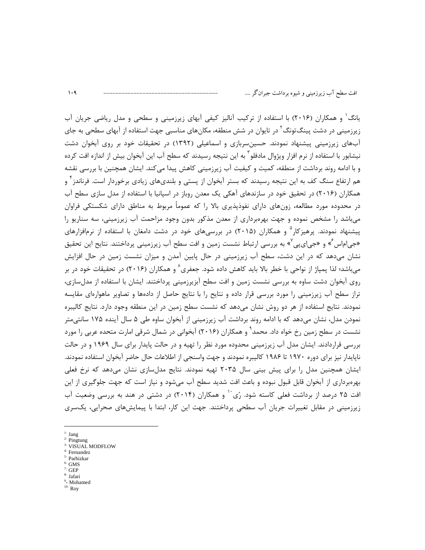یانگ ٰ و همکاران (۲۰۱۶) با استفاده از ترکیب آنالیز کیفی آبهای زیرزمینی و سطحی و مدل ریاضی جریان آب زیرزمینی در دشت پینگ־تونگ<sup>1</sup> در تایوان در شش منطقه، مکانهای مناسبی جهت استفاده از آبهای سطحی به جای آبهای زیرزمینی پیشنهاد نمودند. حسینسربازی و اسماعیلی (۱۳۹۲) در تحقیقات خود بر روی آبخوان دشت نیشابور با استفاده از نرم افزار ویژوال مادفلو` به این نتیجه رسیدند که سطح آب این آبخوان بیش از اندازه افت کرده و با ادامه روند برداشت از منطقه، کمیت و کیفیت آب زیرزمینی کاهش پیدا می کند. ایشان همچنین با بررسی نقشه هم ارتفاع سنگ کف به این نتیجه رسیدند که بستر آبخوان از پستی و بلندیهای زیادی برخوردار است. فرناندز آ و همکاران (۲۰۱۶) در تحقیق خود در سازندهای آهکی یک معدن روباز در اسپانیا با استفاده از مدل سازی سطح آب در محدوده مورد مطالعه، زونهای دارای نفوذیذیری بالا را که عموماً مربوط به مناطق دارای شکستکی فراوان می باشد را مشخص نموده و جهت بهرهبرداری از معدن مذکور بدون وجود مزاحمت آب زیرزمینی، سه سناریو را ییشنهاد نمودند. پرهیزکار<sup>۵</sup> و همکاران (۲۰۱۵) در بررسیهای خود در دشت دامغان با استفاده از نرمافزارهای «جی|م|س ٌ» و «جی|ی پی ٌ» به بررسی ارتباط نشست زمین و افت سطح آب زیرزمینی پرداختند. نتایح این تحقیق نشان میدهد که در این دشت، سطح آب زیرزمینی در حال پایین آمدن و میزان نشست زمین در حال افزایش می باشد؛ لذا یمیاژ از نواحی با خطر بالا باید کاهش داده شود. جعفری^ و همکاران (۲۰۱۶) در تحقیقات خود در بر روی آبخوان دشت ساوه به بررسی نشست زمین و افت سطح آبزیرزمینی پرداختند. ایشان با استفاده از مدلسازی، تراز سطح آب زیرزمینی را مورد بررسی قرار داده و نتایح را با نتایج حاصل از دادهها و تصاویر ماهوارهای مقایسه نمودند. نتایج استفاده از هر دو روش نشان می۵هد که نشست سطح زمین در این منطقه وجود دارد. نتایج کالیبره نمودن مدل، نشان میدهد که با ادامه روند برداشت آب زیرزمینی از آبخوان ساوه طی ۵ سال آینده ۱۷۵ سانتیمتر نشست در سطح زمین رخ خواه داد. محمد ٌ و همکاران (۲۰۱۶) آبخوانی در شمال شرقی امارت متحده عربی را مورد بررسی قراردادند. ایشان مدل آب زیرزمینی محدوده مورد نظر را تهیه و در حالت پایدار برای سال ۱۹۶۹ و در حالت ناپایدار نیز برای دوره ۱۹۷۰ تا ۱۹۸۶ کالیبره نمودند و جهت واسنجی از اطلاعات حال حاضر آبخوان استفاده نمودند. ایشان همچنین مدل را برای پیش بینی سال ۲۰۳۵ تهیه نمودند. نتایج مدلسازی نشان میدهد که نرخ فعلی بهرهبرداری از آبخوان قابل قبول نبوده و باعث افت شدید سطح آب میشود و نیاز است که جهت جلوگیری از این افت ۲۵ درصد از برداشت فعلی کاسته شود. رُی<sup>۲۰</sup> و همکاران (۲۰۱۴) در دشتی در هند به بررسی وضعیت آب زیرزمینی در مقابل تغییرات جریان آب سطحی پرداختند. جهت این کار، ابتدا با پیمایشهای صحرایی، یکسری

 $1 -$  Jang

 $\mathcal{N}$ 

- $2$  Pingtung
- <sup>3-</sup> VISUAL MODFLOW
- $^4\,$  Fernandez Parhizkar
- $\rm ^{6}$  GMS
- $GEP$
- Jafari
- <sup>9</sup>- Mohamed
- $10 Roy$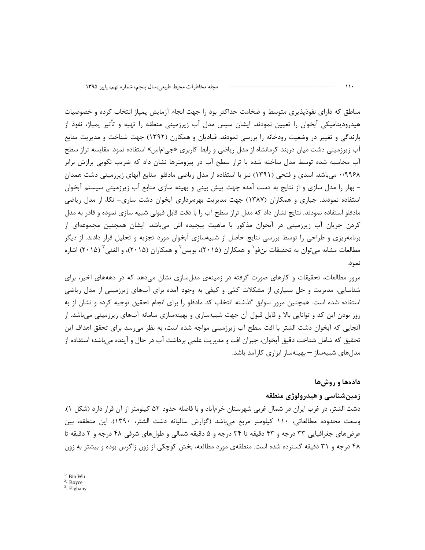مناطق که دارای نفوذپذیری متوسط و ضخامت حداکثر بود را جهت انجام آزمایش پمپاژ انتخاب کرده و خصوصیات هیدرودینامیکی آبخوان را تعیین نمودند. ایشان سپس مدل آب زیرزمینی منطقه را تهیه و تأثیر پمپاژ، نفوذ از بارندگی و تغییر در وضعیت رودخانه را بررسی نمودند. قبادیان و همکارن (۱۳۹۲) جهت شناخت و مدیریت منابع آب زیرزمینی دشت میان دربند کرمانشاه از مدل ریاضی و رابط کاربری «جی|م|س» استفاده نمود. مقایسه تراز سطح آب محاسبه شده توسط مدل ساخته شده با تراز سطح آب در پیزومترها نشان داد که ضریب نکویی برازش برابر ۰/۹۹۶۸ میباشد. اسدی و فتحی (۱۳۹۱) نیز با استفاده از مدل ریاضی مادفلو منابع آبهای زیرزمینی دشت همدان - بهار را مدل سازی و از نتایج به دست آمده جهت پیش بینی و بهینه سازی منابع آب زیرزمینی سیستم آبخوان استفاده نمودند. جباری و همکاران (۱۳۸۷) جهت مدیریت بهرهبرداری آبخوان دشت ساری– نکا، از مدل ریاضی مادفلو استفاده نمودند. نتایج نشان داد که مدل تراز سطح آب را با دقت قابل قبولی شبیه سازی نموده و قادر به مدل کردن جریان آب زیرزمینی در آبخوان مذکور با ماهیت پیچیده اش میباشد. ایشان همچنین مجموعهای از برنامهریزی و طراحی را توسط بررسی نتایج حاصل از شبیهسازی آبخوان مورد تجزیه و تحلیل قرار دادند. از دیگر مطالعات مشابه می توان به تحقیقات بنفو و همکاران (۲۰۱۵)، بویس و همکاران (۲۰۱۵)، و الغنی (۲۰۱۵) اشاره نمود.

مرور مطالعات، تحقیقات و کارهای صورت گرفته در زمینهی مدلسازی نشان میدهد که در دهههای اخیر، برای شناسایی، مدیریت و حل بسیاری از مشکلات کمّی و کیفی به وجود آمده برای آبهای زیرزمینی از مدل ریاضی استفاده شده است. همچنین مرور سوابق گذشته انتخاب کد مادفلو را برای انجام تحقیق توجیه کرده و نشان از به روز بودن این کد و توانایی بالا و قابل قبول آن جهت شبیهسازی و بهینهسازی سامانه آبهای زیرزمینی میباشد. از آنجایی که آبخوان دشت الشتر با افت سطح آب زیرزمینی مواجه شده است، به نظر میرسد برای تحقق اهداف این تحقیق که شامل شناخت دقیق آبخوان، جبران افت و مدیریت علمی برداشت آب در حال و آینده می باشد؛ استفاده از مدل های شبیهساز – بهینهساز ابزاری کارآمد باشد.

### دادهها و روش ها

#### زمینشناسی و هیدرولوژی منطقه

دشت الشتر، در غرب ايران در شمال غربي شهرستان خرمآباد و با فاصله حدود ۵۲ كيلومتر از آن قرار دارد (شكل ۱). وسعت محدوده مطالعاتی، ۱۱۰ کیلومتر مربع میباشد (گزارش سالیانه دشت الشتر، ۱۳۹۰). این منطقه، بین عرضهای جغرافیایی ۳۳ درجه و ۴۳ دقیقه تا ۳۴ درجه و ۵ دقیقه شمالی و طولهای شرقی ۴۸ درجه و ۲ دقیقه تا ۴۸ درجه و ۳۱ دقیقه گسترده شده است. منطقهی مورد مطالعه، بخش کوچکی از زون زاگرس بوده و بیشتر به زون

 $1 - Bin Wu$ 

 $2$ - Boyce

 $3$ - Elghany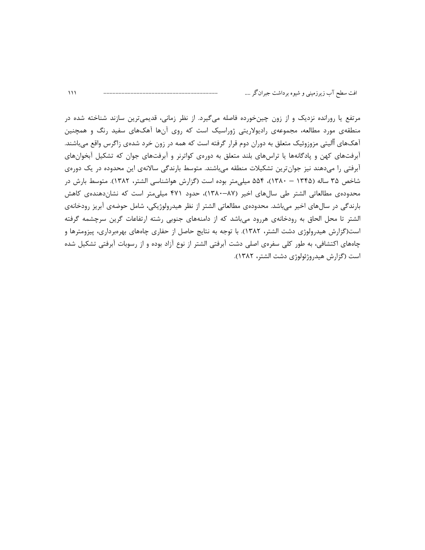مرتفع یا رورانده نزدیک و از زون چینخورده فاصله میگیرد. از نظر زمانی، قدیمیترین سازند شناخته شده در منطقهی مورد مطالعه، مجموعهی رادیولاریتی ژوراسیک است که روی آنها آهکهای سفید رنگ و همچنین آهکهای آآلیتی مزوزوئیک متعلق به دوران دوم قرار گرفته است که همه در زون خرد شدهی زاگرس واقع میباشند. آبرفتهای کهن و پادگانهها یا تراسهای بلند متعلق به دورهی کواترنر و آبرفتهای جوان که تشکیل آبخوانهای آبرفتی را میدهند نیز جوانترین تشکیلات منطقه میباشند. متوسط بارندگی سالانهی این محدوده در یک دورهی شاخص ۳۵ ساله (۱۳۴۵ – ۱۳۸۰)، ۵۵۴ میلیمتر بوده است (گزارش هواشناسی الشتر، ۱۳۸۲). متوسط بارش در محدودهی مطالعاتی الشتر طی سالهای اخیر (۸۷–۱۳۸۰)، حدود ۴۷۱ میلیمتر است که نشاندهندهی کاهش بارندگی در سالهای اخیر میباشد. محدودهی مطالعاتی الشتر از نظر هیدرولوژیکی، شامل حوضهی آبریز رودخانهی الشتر تا محل الحاق به رودخانهی هررود میباشد که از دامنههای جنوبی رشته ارتفاعات گرین سرچشمه گرفته است(گزارش هیدرولوژی دشت الشتر، ۱۳۸۲). با توجه به نتایج حاصل از حفاری چاههای بهرهبرداری، پیزومترها و چاههای اکتشافی، به طور کلی سفرهی اصلی دشت آبرفتی الشتر از نوع آزاد بوده و از رسوبات آبرفتی تشکیل شده است (گزارش هیدروژئولوژی دشت الشتر، ۱۳۸۲).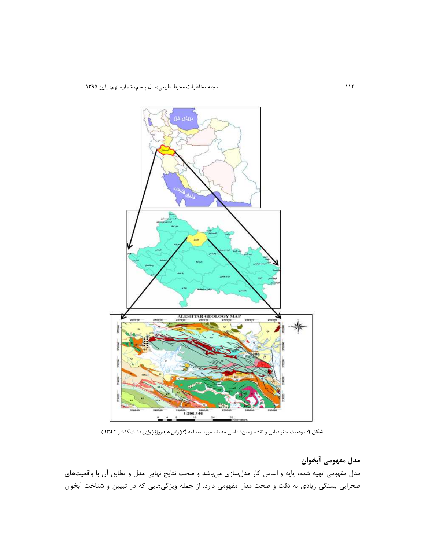

مجله مخاطرات محيط طبيعي،سال پنجم، شماره نهم، پاييز ۱۳۹۵

شكل ۱: موقعیت جغرافیایی و نقشه زمینشناسی منطقه مورد مطالعه (*گزارش هیدروژئولوژی دشت الشتر، ۱۳۸۲*)

مدل مفهومی آبخوان مدل مفهومی تهیه شده، پایه و اساس کار مدلسازی میباشد و صحت نتایج نهایی مدل و تطابق آن با واقعیتهای صحرایی بستگی زیادی به دقت و صحت مدل مفهومی دارد. از جمله ویژگیهایی که در تبیین و شناخت آبخوان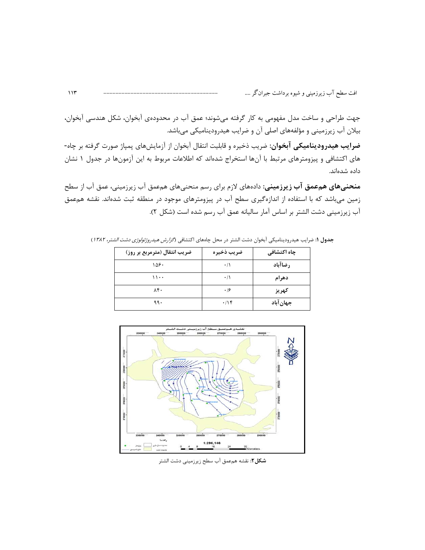جهت طراحی و ساخت مدل مفهومی به کار گرفته میشوند؛ عمق آب در محدودهی آبخوان، شکل هندسی آبخوان، بیلان آب زیرزمینی و مؤلفههای اصلی آن و ضرایب هیدرودینامیکی میباشد.

**ضرایب هیدرودینامیکی آبخوان:** ضریب ذخیره و قابلیت انتقال آبخوان از آزمایشهای پمپاژ صورت گرفته بر چاه-های اکتشافی و پیزومترهای مرتبط با آنها استخراج شدهاند که اطلاعات مربوط به این آزمونها در جدول ۱ نشان داده شدهاند.

**منحنیهای همءمق آب زیرزمینی:** دادههای لازم برای رسم منحنیهای همعمق آب زیرزمینی، عمق آب از سطح زمین می باشد که با استفاده از اندازهگیری سطح آب در پیزومترهای موجود در منطقه ثبت شدهاند. نقشه همءمق آب زيرزميني دشت الشتر بر اساس آمار ساليانه عمق آب رسم شده است (شكل ٢).

| ضریب انتقال (مترمربع بر روز) | ضريب ذخيره | چاہ اکتشافی |
|------------------------------|------------|-------------|
| ۱۵۶۰                         | $\cdot/$   | رضاآباد     |
| ۱۱۰۰                         | $\cdot/$   | دهرام       |
| ۸۴۰                          | .19        | كهريز       |
| ۹۹۰                          | .195       | جهان آباد   |

جدول ١: ضرايب هيدروديناميكي آبخوان دشت الشتر در محل چاههاي اكتشافي (*كزارش هيدروژئولوژي دشت الشتر، ١٣٨٢*)



شکل۲: نقشه همءمق آب سطح زیرزمینی دشت الشتر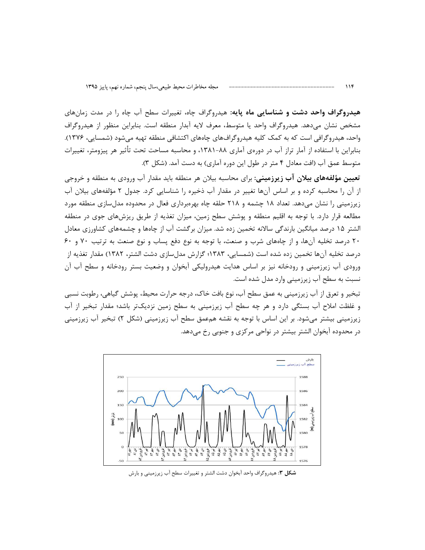هیدروگراف واحد دشت و شناسایی ماه پایه: هیدروگراف چاه، تغییرات سطح آب چاه را در مدت زمانهای مشخص نشان میدهد. هیدروگراف واحد یا متوسط، معرف لایه آبدار منطقه است. بنابراین منظور از هیدروگراف واحد، هیدروگرافی است که به کمک کلیه هیدروگرافهای چاههای اکتشافی منطقه تهیه میشود (شمسایی، ۱۳۷۶). بنابراین با استفاده از آمار تراز آب در دورهی آماری ۸۸–۱۳۸۱، و محاسبه مساحت تحت تأثیر هر پیزومتر، تغییرات متوسط عمق آب (افت معادل ۴ متر در طول این دوره آماری) به دست آمد. (شکل ۳).

**تعیین مؤلفههای بیلان آب زیرزمینی**: برای محاسبه بیلان هر منطقه باید مقدار آب ورودی به منطقه و خروجی از آن را محاسبه کرده و بر اساس آنها تغییر در مقدار آب ذخیره را شناسایی کرد. جدول ۲ مؤلفههای بیلان آب زیرزمینی را نشان می دهد. تعداد ۱۸ چشمه و ۲۱۸ حلقه چاه بهرهبرداری فعال در محدوده مدلسازی منطقه مورد مطالعه قرار دارد. با توجه به اقلیم منطقه و پوشش سطح زمین، میزان تغذیه از طریق ریزشهای جوی در منطقه الشتر ۱۵ درصد میانگین بارندگی سالانه تخمین زده شد. میزان برگشت آب از چاهها و چشمههای کشاورزی معادل ۲۰ درصد تخلیه آنها، و از جاههای شرب و صنعت، با توجه به نوع دفع پساب و نوع صنعت به ترتیب ۷۰ و ۶۰ درصد تخلیه آنها تخمین زده شده است (شمسایی، ۱۳۸۳؛ گزارش مدلسازی دشت الشتر، ۱۳۸۲) مقدار تغذیه از ورودی آب زیرزمینی و رودخانه نیز بر اساس هدایت هیدرولیکی آبخوان و وضعیت بستر رودخانه و سطح آب آن نسبت به سطح آب زیرزمینی وارد مدل شده است.

تبخیر و تعرق از آب زیرزمینی به عمق سطح آب، نوع بافت خاک، درجه حرارت محیط، پوشش گیاهی، رطوبت نسبی و غلظت املاح آب بستگی دارد و هر چه سطح آب زیرزمینی به سطح زمین نزدیکتر باشد؛ مقدار تبخیر از آب زیرزمینی بیشتر میشود. بر این اساس با توجه به نقشه همءمق سطح آب زیرزمینی (شکل ۲) تبخیر آب زیرزمینی در محدوده آبخوان الشتر بیشتر در نواحی مرکزی و جنوبی رخ میدهد.



شکل ۳: هیدروگراف واحد آبخوان دشت الشتر و تغییرات سطح آب زیرزمینی و بارش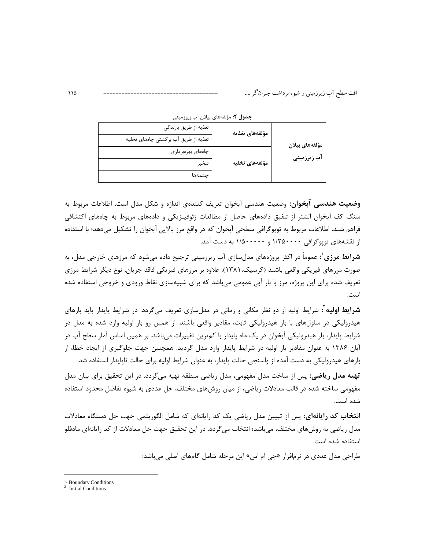افت سطح آب زیرزمینی و شیوه برداشت جبران گر ….

|                | مؤلفههاى تغذيه | تغذیه از طریق بارندگی                |  |  |
|----------------|----------------|--------------------------------------|--|--|
| مؤلفەهاى بيلان |                | تغذیه از طریق آب برگشتی چاههای تخلیه |  |  |
| آب زیرزمینی    |                | چاەھاي بھرەبردارى                    |  |  |
|                | مؤلفههاى تخليه | تبخير                                |  |  |
|                |                | جشمهها                               |  |  |

**جدول ۲**: مؤلفههای بیلان آب زیرزمینی

**وضعیت هندسی آبخوان**: وضعیت هندسی آبخوان تعریف کنندهی اندازه و شکل مدل است. اطلاعات مربوط به سنگ کف آبخوان الشتر از تلفیق دادههای حاصل از مطالعات ژئوفیـزیکی و دادههای مربوط به چاههای اکتشافی فراهم شـد. اطلاعات مربوط به توپوگرافی سطحی آبخوان که در واقع مرز بالایی آبخوان را تشکیل میدهد؛ با استفاده از نقشههای توپوگرافی ۱/۲۵۰۰۰۰ و ۱/۵۰۰۰۰۰ به دست آمد.

**شرایط مرزی** ٔ: عموماً در اکثر پروژههای مدلسازی آب زیرزمینی ترجیح داده میشود که مرزهای خارجی مدل، به صورت مرزهای فیزیکی واقعی باشند (کرسیک،۱۳۸۱). علاوه بر مرزهای فیزیکی فاقد جریان، نوع دیگر شرایط مرزی تعریف شده برای این پروژه، مرز با بار آبی عمومی میباشد که برای شبیهسازی نقاط ورودی و خروجی استفاده شده است.

**شرایط اولیه** ٔ: شرایط اولیه از دو نظر مکانی و زمانی در مدلسازی تعریف میگردد. در شرایط پایدار باید بارهای هیدرولیکی در سلولهای با بار هیدرولیکی ثابت، مقادیر واقعی باشند. از همین رو بار اولیه وارد شده به مدل در شرایط پایدار، بار هیدرولیکی آبخوان در یک ماه پایدار با کمترین تغییرات میباشد. بر همین اساس آمار سطح آب در آبان ۱۳۸۶ به عنوان مقادیر بار اولیه در شرایط پایدار وارد مدل گردید. همچنین جهت جلوگیری از ایجاد خطا، از بارهای هیدرولیکی به دست آمده از واسنجی حالت پایدار، به عنوان شرایط اولیه برای حالت ناپایدار استفاده شد.

ت**ھیه مدل ریاضی**: پس از ساخت مدل مفھومے، مدل ریاضے منطقه تھیه مے *گ*ردد. در این تحقیق برای بیان مدل مفهومی ساخته شده در قالب معادلات ریاضی، از میان روشهای مختلف، حل عددی به شیوه تفاضل محدود استفاده شده است.

**انتخاب کد رایانهای**: پس از تبیین مدل ریاضی یک کد رایانهای که شامل الگوریتمی جهت حل دستگاه معادلات مدل ریاضی به روشهای مختلف، می باشد؛ انتخاب می گردد. در این تحقیق جهت حل معادلات از کد رایانهای مادفلو استفاده شده است.

طراحی مدل عددی در نرمافزار «جی ام اس» این مرحله شامل گامهای اصلی می باشد:

<sup>&</sup>lt;sup>1</sup>- Boundary Conditions

 $2$ - Initial Conditions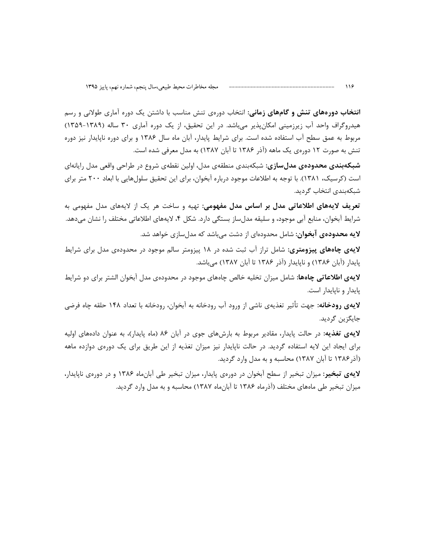**انتخاب دورههای تنش و گامهای زمانی:** انتخاب دورهی تنش مناسب با داشتن یک دوره آماری طولانی و رسم هیدروگراف واحد آب زیرزمینی امکان پذیر می باشد. در این تحقیق، از یک دوره آماری ۳۰ ساله (۱۳۸۹-۱۳۵۹) مربوط به عمق سطح آب استفاده شده است. برای شرایط پایدار، آبان ماه سال ۱۳۸۶ و برای دوره ناپایدار نیز دوره تنش به صورت ١٢ دورەي يک ماهه (آذر ١٣٨۶ تا آبان ١٣٨٧) به مدل معرفي شده است.

**شبکهبندی محدودهی مدلسازی**: شبکهبندی منطقهی مدل، اولین نقطهی شروع در طراحی واقعی مدل رایانهای است (کرسیک، ۱۳۸۱). با توجه به اطلاعات موجود درباره آبخوان، برای این تحقیق سلولهایی با ابعاد ۲۰۰ متر برای شبكەبندى انتخاب گرديد.

تعریف لایههای اطلاعاتی مدل بر اساس مدل مفهومی: تهیه و ساخت هر یک از لایههای مدل مفهومی به شرايط آبخوان، منابع آبي موجود، و سليقه مدلساز بستگي دارد. شكل ۴، لايههاي اطلاعاتي مختلف را نشان ميدهد. **لایه محدودهی آبخوان:** شامل محدودهای از دشت میباشد که مدلسازی خواهد شد.

لایهی چاههای پیزومتری: شامل تراز آب ثبت شده در ۱۸ پیزومتر سالم موجود در محدودهی مدل برای شرایط پایدار (آبان ۱۳۸۶) و ناپایدار (آذر ۱۳۸۶ تا آبان ۱۳۸۷) میباشد.

لای**هی اطلاعاتی چاهها:** شامل میزان تخلیه خالص چاههای موجود در محدودهی مدل آبخوان الشتر برای دو شرایط یایدار و نایایدار است.

**لایهی رودخانه:** جهت تأثیر تغذیهی ناشی از ورود آب رودخانه به آبخوان، رودخانه با تعداد ۱۴۸ حلقه چاه فرضی جايگزين گرديد.

لایهی تغذیه: در حالت پایدار، مقادیر مربوط به بارشهای جوی در آبان ۸۶ (ماه پایدار)، به عنوان دادههای اولیه برای ایجاد این لایه استفاده گردید. در حالت ناپایدار نیز میزان تغذیه از این طریق برای یک دورهی دوازده ماهه (آذر ۱۳۸۶ تا آبان ۱۳۸۷) محاسبه و به مدل وارد گردید.

لایهی تبخیر: میزان تبخیر از سطح آبخوان در دورهی پایدار، میزان تبخیر طی آبانماه ۱۳۸۶ و در دورهی ناپایدار، میزان تبخیر طی ماههای مختلف (آذرماه ۱۳۸۶ تا آبان ماه ۱۳۸۷) محاسبه و به مدل وارد گردید.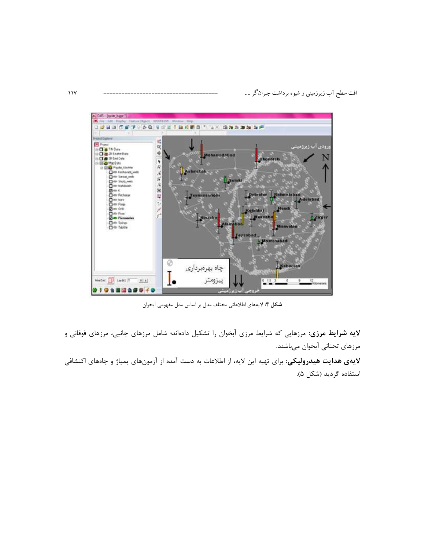

شكل ۴: لايههاي اطلاعاتي مختلف مدل بر اساس مدل مفهومي آبخوان

لایه شرایط مرزی: مرزهایی که شرایط مرزی آبخوان را تشکیل دادهاند؛ شامل مرزهای جانبی، مرزهای فوقانی و مرزهای تحتانی آبخوان میباشند.

لای**هی هدایت هیدرولیکی**: برای تهیه این لایه، از اطلاعات به دست آمده از آزمونهای پمپاژ و چاههای اکتشافی استفاده گردید (شکل ۵).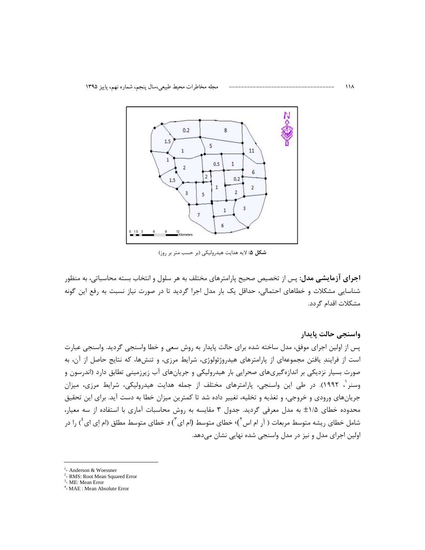

شکل ۵: لایه هدایت هیدرولیکی (بر حسب متر بر روز)

**اجرای آزمایشی مدل**: پس از تخصیص صحیح پارامترهای مختلف به هر سلول و انتخاب بسته محاسباتی، به منظور شناسایی مشکلات و خطاهای احتمالی، حداقل یک بار مدل اجرا گردید تا در صورت نیاز نسبت به رفع این گونه مشكلات اقدام گردد.

واسنجى حالت يايدار پس از اولین اجرای موفق، مدل ساخته شده برای حالت پایدار به روش سعی و خطا واسنجی گردید. واسنجی عبارت است از فرایندِ یافتن مجموعهای از پارامترهای هیدروژئولوژی، شرایط مرزی، و تنشها، که نتایج حاصل از آن، به صورت بسیار نزدیکی بر اندازهگیریهای صحرایی بار هیدرولیکی و جریانهای آب زیرزمینی تطابق دارد (اندرسون و وسنر ٰ، ۱۹۹۲). در طی این واسنجی، پارامترهای مختلف از جمله هدایت هیدرولیکی، شرایط مرزی، میزان جریانهای ورودی و خروجی، و تغذیه و تخلیه، تغییر داده شد تا کمترین میزان خطا به دست آید. برای این تحقیق محدوده خطای ۱/۵± به مدل معرفی گردید. جدول ۳ مقایسه به روش محاسبات آماری با استفاده از سه معیار، شامل خطای ریشه متوسط مربعات ( آر ام اس <sup>۲</sup>)٬ خطای متوسط (ام ای <sup>۳</sup>) و خطای متوسط مطلق (ام ای ای <sup>۴</sup> را در اولین اجرای مدل و نیز در مدل واسنجی شده نهایی نشان می دهد.

- <sup>2</sup>- RMS: Root Mean Squared Error
- $3$  ME: Mean Error

<sup>&</sup>lt;sup>1</sup>- Anderson & Woessner

<sup>&</sup>lt;sup>4</sup>- MAE : Mean Absolute Error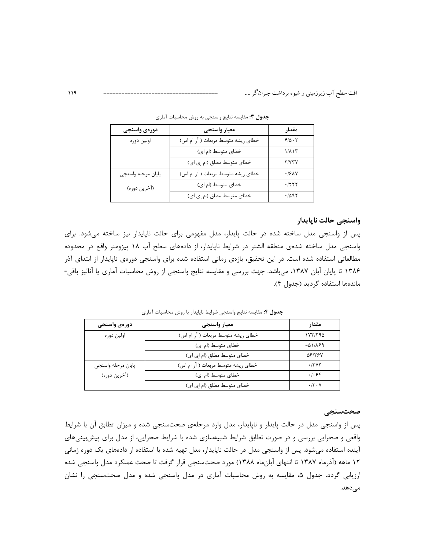| دورەى واسنجى       | معيار واسنجى                       | مقدار              |
|--------------------|------------------------------------|--------------------|
| اولين دوره         | خطای ریشه متوسط مربعات ( آر ام اس) | $f/\Delta \cdot 7$ |
|                    | خطای متوسط (ام ای)                 | ۱/۸۱۳              |
|                    | خطای متوسط مطلق (ام اِی ای)        | <b>Y/V۳V</b>       |
| پايان مرحله واسنجى | خطای ریشه متوسط مربعات ( آر ام اس) | .791Y              |
| (أخرين دوره)       | خطای متوسط (ام ای)                 | ۰/۲۲۲              |
|                    | خطای متوسط مطلق (ام اِی ای)        | ۰/۵۹۲              |

جدول ۳: مقايسه نتايج واسنجى به روش محاسبات آماري

### واسنجى حالت ناپايدار

پس از واسنجی مدل ساخته شده در حالت پایدار، مدل مفهومی برای حالت ناپایدار نیز ساخته می شود. برای واسنجی مدل ساخته شدهی منطقه الشتر در شرایط ناپایدار، از دادههای سطح آب ۱۸ پیزومتر واقع در محدوده مطالعاتی استفاده شده است. در این تحقیق، بازهی زمانی استفاده شده برای واسنجی دورهی ناپایدار از ابتدای آذر ۱۳۸۶ تا پایان آبان ۱۳۸۷، میباشد. جهت بررسی و مقایسه نتایج واسنجی از روش محاسبات آماری یا آنالیز باقی-ماندهها استفاده گردید (جدول ۴).

جدول ۴: مقايسه نتايج واسنجي شرايط ناپايدار با روش محاسبات آماري

| دورەی واسنجى       | معيار واسنجى                       | مقدار                |
|--------------------|------------------------------------|----------------------|
| اولين دوره         | خطای ریشه متوسط مربعات ( آر ام اس) | 1YY/T90              |
|                    | خطای متوسط (ام ای)                 | $-\Delta$ 1/189      |
|                    | خطای متوسط مطلق (ام اِی ای)        | <b>ASITSV</b>        |
| پايان مرحله واسنجى | خطای ریشه متوسط مربعات ( آر ام اس) | .7797                |
| (أخرين دوره)       | خطای متوسط (ام ای)                 | .1.84                |
|                    | خطای متوسط مطلق (ام اِی ای)        | $\cdot$ /۳ $\cdot$ Y |

#### صحتسنجى

پس از واسنجی مدل در حالت پایدار و ناپایدار، مدل وارد مرحلهی صحتسنجی شده و میزان تطابق آن با شرایط واقعی و صحرایی بررسی و در صورت تطابق شرایط شبیهسازی شده با شرایط صحرایی، از مدل برای پیشبینیهای آینده استفاده میشود. پس از واسنجی مدل در حالت ناپایدار، مدل تهیه شده با استفاده از دادههای یک دوره زمانی ۱۲ ماهه (آذرماه ۱۳۸۷ تا انتهای آبانماه ۱۳۸۸) مورد صحتسنجی قرار گرفت تا صحت عملکرد مدل واسنجی شده ارزیابی گردد. جدول ۵، مقایسه به روش محاسبات آماری در مدل واسنجی شده و مدل صحتسنجی را نشان مىدھد.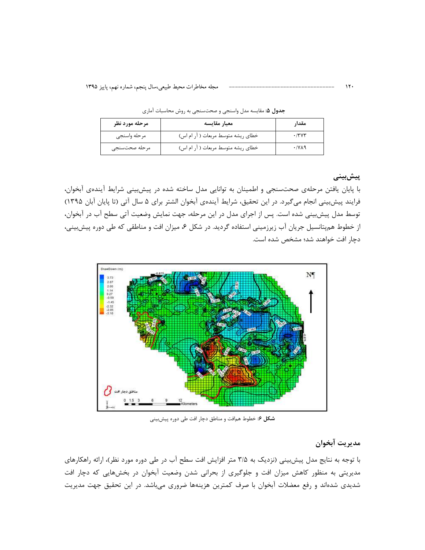| مرحله مورد نظر | معيار مقايسه                       | مقدار        |
|----------------|------------------------------------|--------------|
| مرحله واسنجى   | خطای ریشه متوسط مربعات ( آر ام اس) | .77Y         |
| مرحله صحتسنجي  | خطای ریشه متوسط مربعات ( آر ام اس) | $\cdot$ /yaq |

جدول ۵: مقایسه مدل واسنجی و صحتسنجی به روش محاسبات آماری

### پیش بینی

با پایان یافتن مرحلهی صحتسنجی و اطمینان به توانایی مدل ساخته شده در پیشبینی شرایط آیندهی آبخوان، فرایند پیشبینی انجام میگیرد. در این تحقیق، شرایط آیندهی آبخوان الشتر برای ۵ سال آتی (تا پایان آبان ۱۳۹۵) توسط مدل پیش بینی شده است. پس از اجرای مدل در این مرحله، جهت نمایش وضعیت آتی سطح آب در آبخوان، از خطوط همپتانسیل جریان آب زیرزمینی استفاده گردید. در شکل ۶، میزان افت و مناطقی که طی دوره پیشبینی، دچار افت خواهند شد؛ مشخص شده است.



**شکل ۶:** خطوط همافت و مناطق دچار افت طی دوره پیشبینی

### مديريت آبخوان

با توجه به نتایج مدل پیش بینی (نزدیک به ۳/۵ متر افزایش افت سطح آب در طی دوره مورد نظر)، ارائه راهکارهای مدیریتی به منظور کاهش میزان افت و جلوگیری از بحرانی شدن وضعیت آبخوان در بخشهایی که دچار افت شدیدی شدهاند و رفع معضلات آبخوان با صرف کمترین هزینهها ضروری می باشد. در این تحقیق جهت مدیریت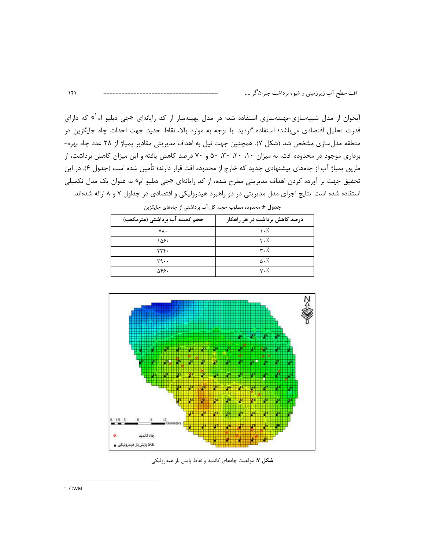آبخوان از مدل شبیهسازی-بهینهسازی استفاده شد؛ در مدل بهینهساز از کد رایانهای «جی دبلیو ام<sup>۰</sup>» که دارای قدرت تحلیل اقتصادی میباشد؛ استفاده گردید. با توجه به موارد بالا، نقاط جدید جهت احداث چاه جایگزین در منطقه مدلسازی مشخص شد (شکل ۷). همچنین جهت نیل به اهداف مدیریتی مقادیر پمپاژ از ۲۸ عدد چاه بهره-برداری موجود در محدوده افت، به میزان ۰۱، ۲۰، ۳۰، ۵۰ و ۷۰ درصد کاهش یافته و این میزان کاهش برداشت، از طریق پمپاژ آب از چاههای پیشنهادی جدید که خارج از محدوده افت قرار دارند؛ تأمین شده است (جدول ۶). در این تحقیق جهت بر آورده کردن اهداف مدیریتی مطرح شده، از کد رایانهای «جی دبلیو ام» به عنوان یک مدل تکمیلی استفاده شده است. نتایج اجرای مدل مدیریتی در دو راهبرد هیدرولیکی و اقتصادی در جداول ۷ و ۸ ارائه شدهاند.

| حجم کمینه آب برداشتی (مترمکعب) | درصد کاهش برداشت در هر راهکار |
|--------------------------------|-------------------------------|
| ٧λ٠                            | $\cdot$ $\frac{7}{2}$         |
| ۱۵۶۰                           | $\mathsf{r}\cdot\mathsf{r}$   |
| 774.                           | $\mathbf{r} \cdot \mathbf{r}$ |
| ۳۹۰۰                           | $\wedge \cdot \wedge$         |
| ۵۴۶۰                           | $v \cdot \gamma$              |

ج**دول ۶**: محدوده مطلوب حجم کل آب برداشتی از چاههای جایگزین



شکل ۷: موقعیت چاههای کاندید و نقاط پایش بار هیدرولیکی

 $111$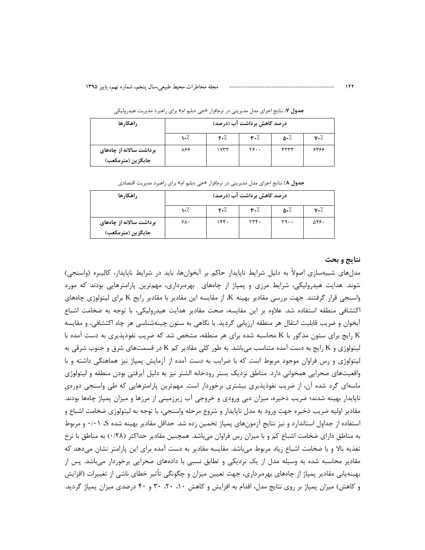#### درصد کاهش برداشت آب (درصد) راهكارها  $1.7.$  $\mathbf{r} \cdot \mathbf{A}$ ۳۰٪  $\Delta \cdot \frac{7}{2}$  $v \cdot \lambda$  $\overline{y}$ .. ۸۶۶  $1YTT$ برداشت سالانه از چاههای  $FTTT$ ۶۳۶۶ جايگزين (مترمكعب)

ج**دول ۷**: نتایج اجرای مدل مدیریتی در نرمافزار «جی دبلیو ام» برای راهبرد مدیریت هیدرولیکی

|  |  |  | <b>جدول ۱۸:</b> نتایج اجرای مدل مدیریتی در نرمافزار «جی دبلیو ام» برای راهبرد مدیریت اقتصادی |
|--|--|--|----------------------------------------------------------------------------------------------|
|--|--|--|----------------------------------------------------------------------------------------------|

| , اهکا, ها              | درصد کاهش برداشت آب (درصد) |      |              |      |                   |
|-------------------------|----------------------------|------|--------------|------|-------------------|
|                         | $\cdot$ %                  | ٪۳۰  | ٪۳۰          | ∴ه   | $v \cdot \lambda$ |
| برداشت سالانه از چاههای | ٧٨.                        | ۱۴۴۰ | $\mathbf{y}$ | ۳۹۰۰ | ۵۴۶۰              |
| جايگزين (مترمكعب)       |                            |      |              |      |                   |

#### نتايج و بحث

مدلهای شبیهسازی اصولاً به دلیل شرایط ناپایدار حاکم بر آبخوانها، باید در شرایط ناپایدار، کالیبره (واسنجی) شوند. هدایت هیدرولیکی، شرایط مرزی و پمپاژ از چاههای بهرهبرداری، مهمترین پارامترهایی بودند که مورد واسنجی قرار گرفتند. جهت بررسی مقادیر بهینه K، از مقایسه این مقادیر با مقادیر رایج K برای لیتولوژی چاههای اكتشافي منطقه استفاده شد. علاوه بر اين مقايسه، صحت مقادير هدايت هيدروليكي، با توجه به ضخامت اشباع آبخوان و ضریب قابلیت انتقال هر منطقه ارزیابی گردید. با نگاهی به ستون چینهشناسی هر چاه اکتشافی، و مقایسه K رایج برای ستون مذکور با K محاسبه شده برای هر منطقه، مشخص شد که ضریب نفوذپذیری به دست آمده با لیتولوژی و K رایج به دست آمده متناسب میباشد. به طور کلی مقادیر کم K در قسمتهای شرق و جنوب شرقی به لیتولوژی و رس فراوان موجود مربوط است که با ضرایب به دست آمده از آزمایش پمپاژ نیز هماهنگی داشته و با واقعیتهای صحرایی همخوانی دارد. مناطق نزدیک بستر رودخانه الشتر نیز به دلیل آبرفتی بودن منطقه و لیتولوژی ماسهای گرد شده آن، از ضریب نفوذپذیری بیشتری برخوردار است. مهمترین پارامترهایی که طی واسنجی دورهی ناپایدار بهینه شدند؛ ضریب ذخیره، میزان دبی ورودی و خروجی آب زیرزمینی از مرزها و میزان پمپاژ چاهها بودند. مقادیر اولیه ضریب ذخیره جهت ورود به مدل ناپایدار و شروع مرحله واسنجی، با توجه به لیتولوژی ضخامت اشباع و استفاده از جداول استاندارد و نیز نتایج آزمونهای پمپاژ تخمین زده شد. حداقل مقادیر بهینه شده S، ۰/۰۱ و مربوط به مناطق دارای ضخامت اشباع کم و با میزان رس فراوان میباشد. همچنین مقادیر حداکثر (۰/۲۸) به مناطق با نرخ تغذیه بالا و با ضخامت اشباع زیاد مربوط میباشد. مقایسه مقادیر به دست آمده برای این پارامتر نشان میدهد که مقادیر محاسبه شده به وسیله مدل از یک نزدیکی و تطابق نسبی با دادههای صحرایی برخوردار میباشد. پس از بهینهپایی مقادیر پمپاژ از چاههای بهرمبرداری، جهت تعیین میزان و چگونگی تأثیر خطای ناشی از تغییرات (افزایش و کاهش) میزان یمیاژ بر روی نتایج مدل، اقدام به افزایش و کاهش ۲۰، ۲۰، ۳۰ و ۴۰ درصدی میزان یمیاژ گردید.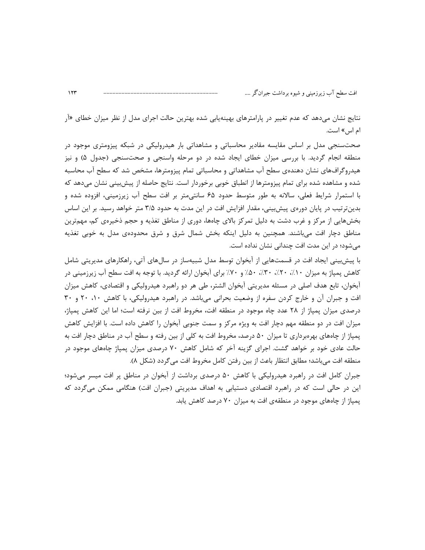نتایج نشان میدهد که عدم تغییر در پارامترهای بهینهیابی شده بهترین حالت اجرای مدل از نظر میزان خطای «آر ام اس» است.

صحتسنجی مدل بر اساس مقایسه مقادیر محاسباتی و مشاهداتی بار هیدرولیکی در شبکه پیزومتری موجود در منطقه انجام گردید. با بررسی میزان خطای ایجاد شده در دو مرحله واسنجی و صحتسنجی (جدول ۵) و نیز هیدروگرافهای نشان دهندهی سطح اب مشاهداتی و محاسباتی تمام پیزومترها، مشخص شد که سطح اب محاسبه شده و مشاهده شده برای تمام پیزومترها از انطباق خوبی برخوردار است. نتایج حاصله از پیش بینی نشان میدهد که با استمرار شرایط فعلی، سالانه به طور متوسط حدود ۶۵ سانتی متر بر افت سطح آب زیرزمینی، افزوده شده و بدینترتیب در پایان دورهی پیش بینی، مقدار افزایش افت در این مدت به حدود ۳/۵ متر خواهد رسید. بر این اساس بخشهایی از مرکز و غرب دشت به دلیل تمرکز بالای چاهها، دوری از مناطق تغذیه و حجم ذخیرهی کم، مهمترین مناطق دچار افت میباشند. همچنین به دلیل اینکه بخش شمال شرق و شرق محدودهی مدل به خوبی تغذیه می شود؛ در این مدت افت چندانی نشان نداده است.

با پیش بینی ایجاد افت در قسمتهایی از آبخوان توسط مدل شبیهساز در سالهای آتی، راهکارهای مدیریتی شامل کاهش پمپاژ به میزان ۱۰٪، ۲۰٪، ۳۰٪، ۵۰٪ و ۷۰٪ برای آبخوان ارائه گردید. با توجه به افت سطح آب زیرزمینی در آبخوان، تابع هدف اصلی در مسئله مدیریتی آبخوان الشتر، طی هر دو راهبرد هیدرولیکی و اقتصادی، کاهش میزان افت و جبران آن و خارج کردن سفره از وضعیت بحرانی می باشد. در راهبرد هیدرولیکی، با کاهش ۲۰، ۲۰ و ۳۰ درصدی میزان پمپاژ از ۲۸ عدد چاه موجود در منطقه افت، مخروط افت از بین نرفته است؛ اما این کاهش پمپاژ، میزان افت در دو منطقه مهم دچار افت به ویژه مرکز و سمت جنوبی آبخوان را کاهش داده است. با افزایش کاهش پمپاژ از چاههای بهرهبرداری تا میزان ۵۰ درصد، مخروط افت به کلی از بین رفته و سطح آب در مناطق دچار افت به حالت عادی خود بر خواهد گشت. اجرای گزینه آخر که شامل کاهش ۷۰ درصدی میزان پمپاژ چاههای موجود در منطقه افت ميباشد؛ مطابق انتظار باعث از بين رفتن كامل مخروط افت مي گردد (شكل ٨).

جبران کامل افت در راهبرد هیدرولیکی با کاهش ۵۰ درصدی برداشت از آبخوان در مناطق پر افت میسر می شود؛ این در حالی است که در راهبرد اقتصادی دستیابی به اهداف مدیریتی (جبران افت) هنگامی ممکن میگردد که یمیاژ از چاههای موجود در منطقهی افت به میزان ۷۰ درصد کاهش پابد.

 $114$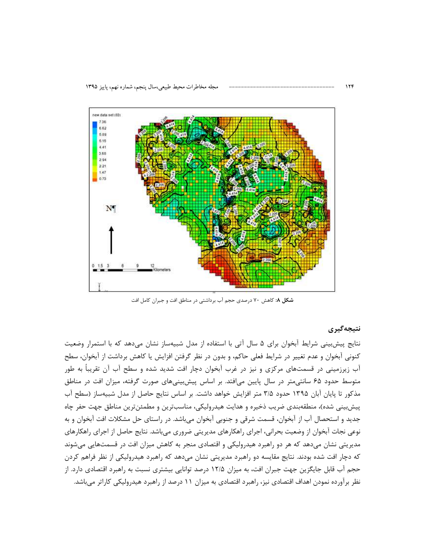

شکل ۸: کاهش ۷۰ درصدی حجم آب برداشتی در مناطق افت و جبران کامل افت

نتيجەگيرى

نتايج پيشبيني شرايط آبخوان براي ۵ سال آتي با استفاده از مدل شبيهساز نشان ميدهد كه با استمرار وضعيت کنونی آبخوان و عدم تغییر در شرایط فعلی حاکم، و بدون در نظر گرفتن افزایش یا کاهش برداشت از آبخوان، سطح آب زیرزمینی در قسمتهای مرکزی و نیز در غرب آبخوان دچار افت شدید شده و سطح آب آن تقریباً به طور متوسط حدود ۶۵ سانتی متر در سال پایین میافتد. بر اساس پیش بینی های صورت گرفته، میزان افت در مناطق مذکور تا پایان آبان ۱۳۹۵ حدود ۳/۵ متر افزایش خواهد داشت. بر اساس نتایج حاصل از مدل شبیهساز (سطح آب پیش بینی شده)، منطقهبندی ضریب ذخیره و هدایت هیدرولیکی، مناسبترین و مطمئن ترین مناطق جهت حفر چاه جدید و استحصال آب از آبخوان، قسمت شرقی و جنوبی آبخوان میباشد. در راستای حل مشکلات افت آبخوان و به نوعی نجات آبخوان از وضعیت بحرانی، اجرای راهکارهای مدیریتی ضروری میباشد. نتایج حاصل از اجرای راهکارهای مدیریتی نشان میدهد که هر دو راهبرد هیدرولیکی و اقتصادی منجر به کاهش میزان افت در قسمتهایی میشوند که دچار افت شده بودند. نتایج مقایسه دو راهبرد مدیریتی نشان میدهد که راهبرد هیدرولیکی از نظر فراهم کردن حجم آب قابل جایگزین جهت جبران افت، به میزان ۱۲/۵ درصد توانایی بیشتری نسبت به راهبرد اقتصادی دارد. از نظر برآورده نمودن اهداف اقتصادی نیز، راهبرد اقتصادی به میزان ۱۱ درصد از راهبرد هیدرولیکی کاراتر میباشد.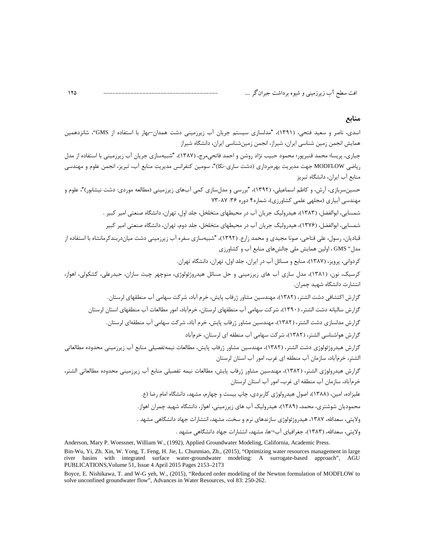### منابع

اسدی، ناصر و سعید فتحی، (۱۳۹۱)، "مدلسازی سیستم جریان آب زیرزمینی دشت همدان–بهار با استفاده از GMS"، شانزدهمین همایش انجمن زمین شناسی ایران، شیراز، انجمن زمینشناسی ایران، دانشگاه شیراز

جباري، پريسا؛ محمد قنبريور؛ محمود حبيب نژاد روشن و احمد فاتحے،مرج، (١٣٨٧)، "شبيهسازي جريان آب زيرزميني با استفاده از مدل رياضي MODFLOW جهت مديريت بهرەبرداري (دشت ساري-نكا)"، سومين كنفرانس مديريت منابع آب، تبريز، انجمن علوم و مهندسي منابع آب ایران، دانشگاه تبریز

حسینسربازی، آرش، و کاظم اسماعیلی، (۱۳۹۲)، "بررسی و مدلسازی کمی آبهای زیرزمینی (مطالعه موردی: دشت نیشابور)"، علوم و مهندسی آبیاری (مجلهی علمی کشاورزی)، شماره۴ دوره ۳۶: ۰۸۷-۷۳

شمسایی، ابوالفضل، (۱۳۸۳)، هیدرولیک جریان آب در محیطهای متخلخل، جلد اول، تهران، دانشگاه صنعتی امیر کبیر .

شمسایی، ابوالفضل، (۱۳۷۶)، هیدرولیک جریان آب در محیطهای متخلخل، جلد دوم، تهران، دانشگاه صنعتی امیر کبیر

۔<br>قیادیان، رسول، علے ، فتاحے، صونا مجیدی و محمد زارع. (١٣٩٢)، "شیبهسازی سفره آب زیرزمینے ردشت میان(ربندکرمانشاه با استفاده از مدل'' GMS ، اولین همایش ملی چالشهای منابع آب و کشاورزی

کردوانی، پرویز، (۱۳۸۷)، منابع و مسائل آب در ایران، جلد اول، تهران، دانشگاه تهران.

کرسیک، نون، (۱۳۸۱)، مدل سازی آب های زیرزمینی و حل مسائل هیدروژئولوژی، منوچهر چیت سازان، حیدرعلی، کشکولی، اهواز، انتشارت دانشگاه شهید چمران.

گزارش اکتشافی دشت الشتر، (۱۳۸۲)، مهندسین مشاور ژرفاب پایش، خرم آباد، شرکت سهامی آب منطقهای لرستان.

گزارش سالیانه دشت الشتر، (۱۳۹۰)، شرکت سهامی آب منطقهای لرستان، خرمآباد، امور مطالعات آب منطقهای استان لرستان

گزارش مدلسازی دشت الشتر، (۱۳۸۲)، مهندسین مشاور ژرفاب پایش، خرم آباد، شرکت سهامی آب منطقهای لرستان.

گزارش هواشناسی الشتر، (۱۳۸۲)، شرکت سهامی آب منطقه ای لرستان، خرمآباد

گزارش هیدروژئولوژی دشت الشتر، (۱۳۸۲)، مهندسین مشاور ژرفاب پایش، مطالعات نیمهتفصیلی منابع آب زیرزمینی محدوده مطالعاتی الشتر، خرمآباد، سازمان آب منطقه ای غرب، امور آب استان لرستان

گزارش هیدرولوژی الشتر، (۱۳۸۲)، مهندسین مشاور ژرفاب پایش، مطالعات نیمه تفصیلی منابع آب زیرزمینی محدوده مطالعاتی الشتر، خرمآباد، سازمان آب منطقه ای غرب، امور آب استان لرستان

علیزاده، امین، (۱۳۸۸)، اصول هیدرولوژی کاربردی، چاپ بیست و چهارم، مشهد، دانشگاه امام رضا (ع.

محمودیان شوشتری، محمد، (۱۳۸۹)، هیدرولیک آب های زیرزمینی، اهواز، دانشگاه شهید چمران اهواز.

ولایتی، سعدالله، ۱۳۸۷، هیدروژئولوژی سازندهای نرم و سخت، مشهد، انتشارات جهاد دانشگاهی مشهد .

ولايتي، سعدالله، (١٣٨٣)، جغرافياي آب¬ها، مشهد، انتشارات جهاد دانشگاهي مشهد .

Anderson, Mary P. Woessner, William W., (1992), Applied Groundwater Modeling, California, Academic Press.

Bin-Wu, Yi, Zh. Xin, W. Yong, T. Feng, H. Jie, L. Chunmiao, Zh., (2015), "Optimizing water resources management in large river basins with integrated surface water-groundwater modeling: A surrogate-based approach", AGU<br>PUBLICATIONS, Volume 51, Issue 4 April 2015 Pages 2153–2173

Boyce, E. Nishikawa, T. and W-G yeh, W., (2015), "Reduced order modeling of the Newton formulation of MODFLOW to solve unconfined groundwater flow", Advances in Water Resources, vol 83: 250-262.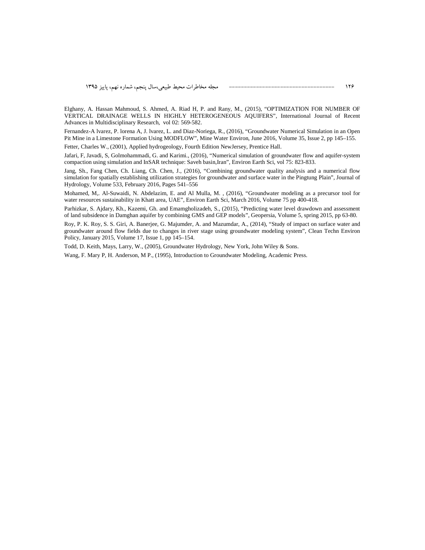Elghany, A. Hassan Mahmoud, S. Ahmed, A. Riad H, P. and Rany, M., (2015), "OPTIMIZATION FOR NUMBER OF VERTICAL DRAINAGE WELLS IN HIGHLY HETEROGENEOUS AQUIFERS", International Journal of Recent Advances in Multidisciplinary Research, vol 02: 569-582.

Fernandez-A lvarez, P. lorena A, J. lvarez, L. and Diaz-Noriega, R., (2016), "Groundwater Numerical Simulation in an Open Pit Mine in a Limestone Formation Using MODFLOW", Mine Water Environ, June 2016, Volume 35, Issue 2, pp 145–155.

Fetter, Charles W., (2001), Applied hydrogeology, Fourth Edition NewJersey, Prentice Hall.

Jafari, F, Javadi, S, Golmohammadi, G. and Karimi., (2016), "Numerical simulation of groundwater flow and aquifer-system compaction using simulation and InSAR technique: Saveh basin,Iran", Environ Earth Sci, vol 75: 823-833.

Jang, Sh., Fang Chen, Ch. Liang, Ch. Chen, J., (2016), "Combining groundwater quality analysis and a numerical flow simulation for spatially establishing utilization strategies for groundwater and surface water in the Pingtung Plain", Journal of Hydrology, Volume 533, February 2016, Pages 541–556

Mohamed, M,. Al-Suwaidi, N. Abdelazim, E. and Al Mulla, M. , (2016), "Groundwater modeling as a precursor tool for water resources sustainability in Khatt area, UAE", Environ Earth Sci, March 2016, Volume 75 pp 400-418.

Parhizkar, S. Ajdary, Kh., Kazemi, Gh. and Emamgholizadeh, S., (2015), "Predicting water level drawdown and assessment of land subsidence in Damghan aquifer by combining GMS and GEP models", Geopersia, Volume 5, spring 2015, pp 63-80.

Roy, P. K. Roy, S. S. Giri, A. Banerjee, G. Majumder, A. and Mazumdar, A., (2014), "Study of impact on surface water and groundwater around flow fields due to changes in river stage using groundwater modeling system", Clean Techn Environ Policy, January 2015, Volume 17, Issue 1, pp 145–154.

Todd, D. Keith, Mays, Larry, W., (2005), Groundwater Hydrology, New York, John Wiley & Sons.

Wang, F. Mary P, H. Anderson, M P., (1995), Introduction to Groundwater Modeling, Academic Press.